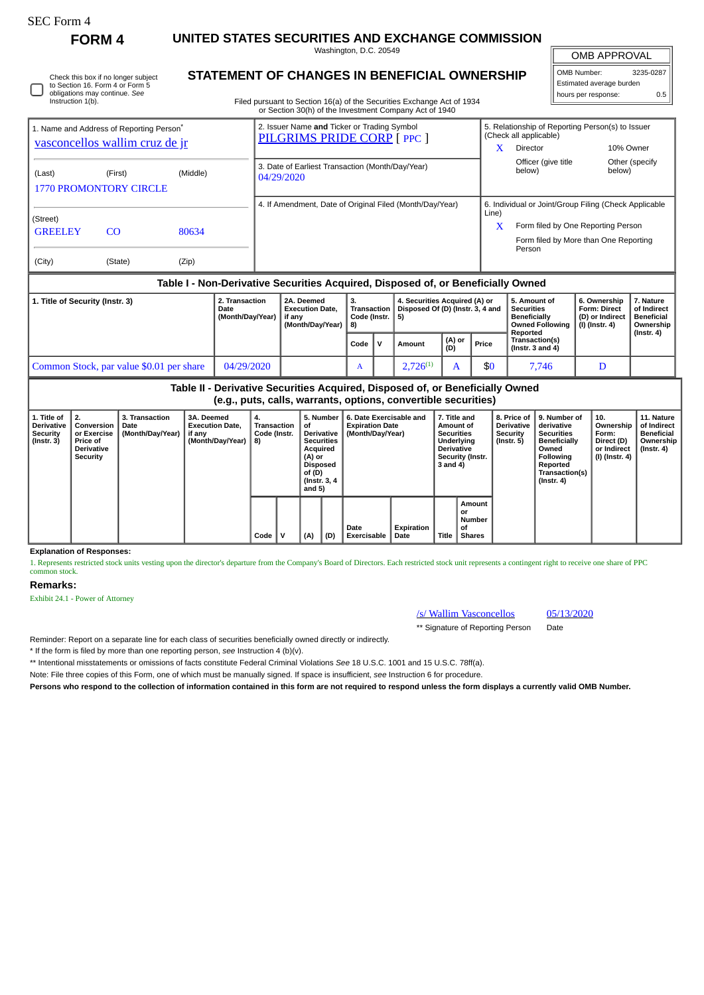# SEC Form 4

Check this box if no longer subject to Section 16. Form 4 or Form 5 obligations may continue. *See*

**FORM 4 UNITED STATES SECURITIES AND EXCHANGE COMMISSION** Washington, D.C. 20549

**STATEMENT OF CHANGES IN BENEFICIAL OWNERSHIP**

OMB APPROVAL

 $\mathbb{I}$ 

| OMB Number:              | 3235-0287 |  |  |  |  |
|--------------------------|-----------|--|--|--|--|
| Estimated average burden |           |  |  |  |  |
| hours per response:      | 0.5       |  |  |  |  |

Filed pursuant to Section 16(a) of the Securities Exchange Act of 1934

| Table I - Non-Derivative Securities Acquired, Disposed of, or Beneficially Owned       |                |          |                                                                            |       |                                                                                        |                          |  |  |  |
|----------------------------------------------------------------------------------------|----------------|----------|----------------------------------------------------------------------------|-------|----------------------------------------------------------------------------------------|--------------------------|--|--|--|
| (City)                                                                                 | (State)        | (Zip)    |                                                                            |       |                                                                                        |                          |  |  |  |
| (Street)<br><b>GREELEY</b>                                                             |                |          |                                                                            |       | Form filed by More than One Reporting<br>Person                                        |                          |  |  |  |
|                                                                                        | C <sub>O</sub> | 80634    |                                                                            | x     | Form filed by One Reporting Person                                                     |                          |  |  |  |
|                                                                                        |                |          | 4. If Amendment, Date of Original Filed (Month/Day/Year)                   | Line) | 6. Individual or Joint/Group Filing (Check Applicable                                  |                          |  |  |  |
| <b>1770 PROMONTORY CIRCLE</b>                                                          |                |          |                                                                            |       |                                                                                        |                          |  |  |  |
| (Last)                                                                                 | (First)        | (Middle) | 3. Date of Earliest Transaction (Month/Day/Year)<br>04/29/2020             |       | Officer (give title<br>below)                                                          | Other (specify<br>below) |  |  |  |
| 1. Name and Address of Reporting Person <sup>®</sup><br>vasconcellos wallim cruz de jr |                |          | 2. Issuer Name and Ticker or Trading Symbol<br>PILGRIMS PRIDE CORP [ PPC ] |       | 5. Relationship of Reporting Person(s) to Issuer<br>(Check all applicable)<br>Director | 10% Owner                |  |  |  |

| 1. Title of Security (Instr. 3)          | 2. Transaction<br>Date<br>(Month/Day/Year) | 2A. Deemed<br><b>Execution Date.</b><br>if anv<br>(Month/Dav/Year) | З.<br>Transaction<br>Code (Instr.   5)<br>18) |  | 4. Securities Acquired (A) or<br>Disposed Of (D) (Instr. 3, 4 and |               |       | . 5. Amount of<br><b>Securities</b><br>Beneficially<br>Owned Following | 6. Ownership<br><b>Form: Direct</b><br>(D) or Indirect<br>  (I) (Instr. 4) | . Nature<br>of Indirect<br><b>Beneficial</b><br>Ownership |
|------------------------------------------|--------------------------------------------|--------------------------------------------------------------------|-----------------------------------------------|--|-------------------------------------------------------------------|---------------|-------|------------------------------------------------------------------------|----------------------------------------------------------------------------|-----------------------------------------------------------|
|                                          |                                            |                                                                    | Code                                          |  | Amount                                                            | (A) or<br>(D) | Price | Reported<br>Transaction(s)<br>(Instr. $3$ and $4$ )                    |                                                                            | $($ Instr. 4 $)$                                          |
| Common Stock, par value \$0.01 per share | 04/29/2020                                 |                                                                    | A                                             |  | $2.726^{(1)}$                                                     |               | \$0   | 7.746                                                                  |                                                                            |                                                           |

**Table II - Derivative Securities Acquired, Disposed of, or Beneficially Owned (e.g., puts, calls, warrants, options, convertible securities) 1. Title of Derivative Security (Instr. 3) 2. Conversion or Exercise Price of Derivative Security 3. Transaction Date (Month/Day/Year) 3A. Deemed Execution Date, if any (Month/Day/Year) 4. Transaction Code (Instr. 8) 5. Number of Derivative Securities Acquired (A) or Disposed of (D) (Instr. 3, 4 and 5) 6. Date Exercisable and Expiration Date (Month/Day/Year) 7. Title and Amount of Securities Underlying Derivative Security (Instr. 3 and 4) 8. Price of Derivative Security (Instr. 5) 9. Number of derivative Securities Beneficially Owned Following Reported Transaction(s) (Instr. 4) 10. Ownership Form: Direct (D) or Indirect (I) (Instr. 4) 11. Nature of Indirect Beneficial Ownership (Instr. 4) Code V (A) (D) Date Exercisable Expiration Date Title Amount or Number of Shares**

**Explanation of Responses:**

1. Represents restricted stock units vesting upon the director's departure from the Company's Board of Directors. Each restricted stock unit represents a contingent right to receive one share of PPC common stock.

### **Remarks:**

Exhibit 24.1 - Power of Attorney

## /s/ Wallim Vasconcellos 05/13/2020

\*\* Signature of Reporting Person Date

Reminder: Report on a separate line for each class of securities beneficially owned directly or indirectly.

\* If the form is filed by more than one reporting person, *see* Instruction 4 (b)(v).

\*\* Intentional misstatements or omissions of facts constitute Federal Criminal Violations *See* 18 U.S.C. 1001 and 15 U.S.C. 78ff(a).

Note: File three copies of this Form, one of which must be manually signed. If space is insufficient, *see* Instruction 6 for procedure.

**Persons who respond to the collection of information contained in this form are not required to respond unless the form displays a currently valid OMB Number.**

Instruction 1(b).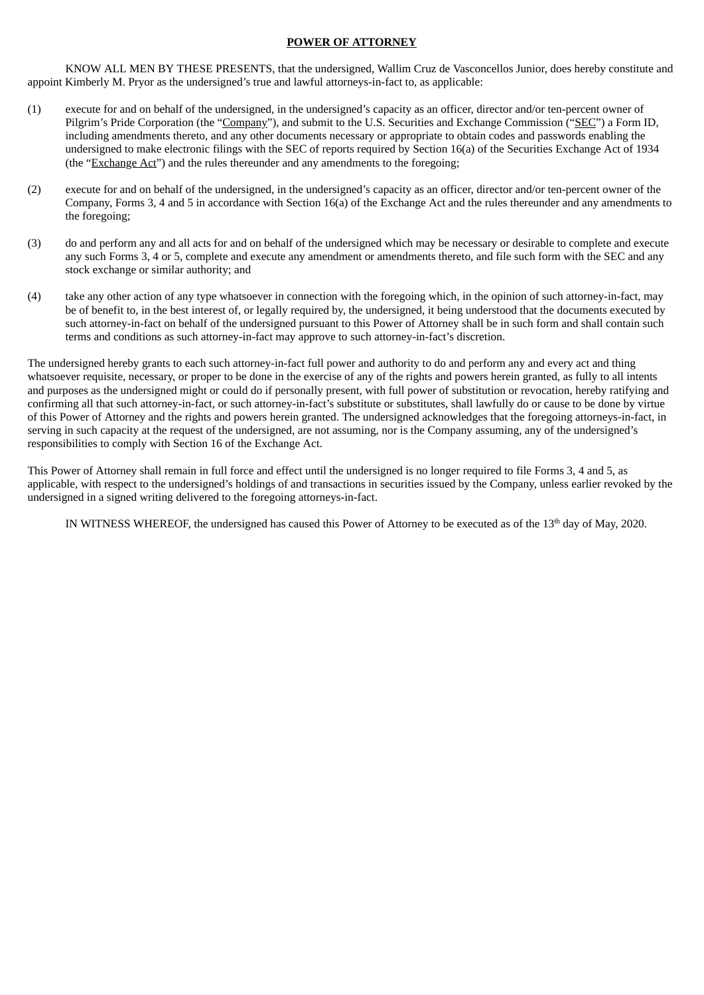# **POWER OF ATTORNEY**

KNOW ALL MEN BY THESE PRESENTS, that the undersigned, Wallim Cruz de Vasconcellos Junior, does hereby constitute and appoint Kimberly M. Pryor as the undersigned's true and lawful attorneys-in-fact to, as applicable:

- (1) execute for and on behalf of the undersigned, in the undersigned's capacity as an officer, director and/or ten-percent owner of Pilgrim's Pride Corporation (the "Company"), and submit to the U.S. Securities and Exchange Commission ("SEC") a Form ID, including amendments thereto, and any other documents necessary or appropriate to obtain codes and passwords enabling the undersigned to make electronic filings with the SEC of reports required by Section 16(a) of the Securities Exchange Act of 1934 (the "Exchange Act") and the rules thereunder and any amendments to the foregoing;
- (2) execute for and on behalf of the undersigned, in the undersigned's capacity as an officer, director and/or ten-percent owner of the Company, Forms 3, 4 and 5 in accordance with Section 16(a) of the Exchange Act and the rules thereunder and any amendments to the foregoing;
- (3) do and perform any and all acts for and on behalf of the undersigned which may be necessary or desirable to complete and execute any such Forms 3, 4 or 5, complete and execute any amendment or amendments thereto, and file such form with the SEC and any stock exchange or similar authority; and
- (4) take any other action of any type whatsoever in connection with the foregoing which, in the opinion of such attorney-in-fact, may be of benefit to, in the best interest of, or legally required by, the undersigned, it being understood that the documents executed by such attorney-in-fact on behalf of the undersigned pursuant to this Power of Attorney shall be in such form and shall contain such terms and conditions as such attorney-in-fact may approve to such attorney-in-fact's discretion.

The undersigned hereby grants to each such attorney-in-fact full power and authority to do and perform any and every act and thing whatsoever requisite, necessary, or proper to be done in the exercise of any of the rights and powers herein granted, as fully to all intents and purposes as the undersigned might or could do if personally present, with full power of substitution or revocation, hereby ratifying and confirming all that such attorney-in-fact, or such attorney-in-fact's substitute or substitutes, shall lawfully do or cause to be done by virtue of this Power of Attorney and the rights and powers herein granted. The undersigned acknowledges that the foregoing attorneys-in-fact, in serving in such capacity at the request of the undersigned, are not assuming, nor is the Company assuming, any of the undersigned's responsibilities to comply with Section 16 of the Exchange Act.

This Power of Attorney shall remain in full force and effect until the undersigned is no longer required to file Forms 3, 4 and 5, as applicable, with respect to the undersigned's holdings of and transactions in securities issued by the Company, unless earlier revoked by the undersigned in a signed writing delivered to the foregoing attorneys-in-fact.

IN WITNESS WHEREOF, the undersigned has caused this Power of Attorney to be executed as of the  $13<sup>th</sup>$  day of May, 2020.